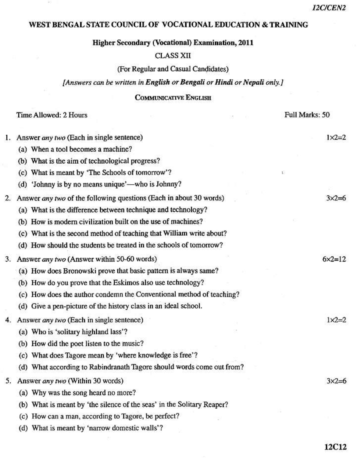## WEST BENGAL STATE COUNCIL OF VOCATIONAL EDUCATION & TRAINING

**Higher Secondary (Vocational) Examination, 2011** 

## **CLASS XII**

(For Regular and Casual Candidates)

[Answers can be written in English or Bengali or Hindi or Nepali only.]

## **COMMUNICATIVE ENGLISH**

|  |  |  | Time Allowed: 2 Hours |
|--|--|--|-----------------------|
|--|--|--|-----------------------|

(d) What is meant by 'narrow domestic walls'?

 $\geq$ 

 $m + r + r$ 

|    | Time Allowed: 2 Hours                                                  | <b>FUIL MATKS: 50</b> |
|----|------------------------------------------------------------------------|-----------------------|
| 1. | Answer any two (Each in single sentence)                               | $1 \times 2 = 2$      |
|    | (a) When a tool becomes a machine?                                     |                       |
|    | (b) What is the aim of technological progress?                         |                       |
|    | (c) What is meant by 'The Schools of tomorrow'?                        |                       |
|    | (d) 'Johnny is by no means unique'—who is Johnny?                      |                       |
| 2. | Answer any two of the following questions (Each in about 30 words)     | $3x2=6$               |
|    | (a) What is the difference between technique and technology?           |                       |
|    | (b) How is modern civilization built on the use of machines?           |                       |
|    | (c) What is the second method of teaching that William write about?    |                       |
|    | (d) How should the students be treated in the schools of tomorrow?     |                       |
| 3. | Answer any two (Answer within 50-60 words)                             | $6 \times 2 = 12$     |
|    | (a) How does Bronowski prove that basic pattern is always same?        |                       |
|    | (b) How do you prove that the Eskimos also use technology?             |                       |
|    | (c) How does the author condemn the Conventional method of teaching?   |                       |
|    | (d) Give a pen-picture of the history class in an ideal school.        |                       |
| 4. | Answer any two (Each in single sentence)                               | $1 \times 2 = 2$      |
|    | (a) Who is 'solitary highland lass'?                                   |                       |
|    | (b) How did the poet listen to the music?                              |                       |
|    | (c) What does Tagore mean by 'where knowledge is free'?                |                       |
|    | (d) What according to Rabindranath Tagore should words come out from?  |                       |
| 5. | Answer any two (Within 30 words)                                       | $3x2=6$               |
|    | (a) Why was the song heard no more?                                    |                       |
|    | (b) What is meant by 'the silence of the seas' in the Solitary Reaper? |                       |
|    | (c) How can a man, according to Tagore, be perfect?                    |                       |